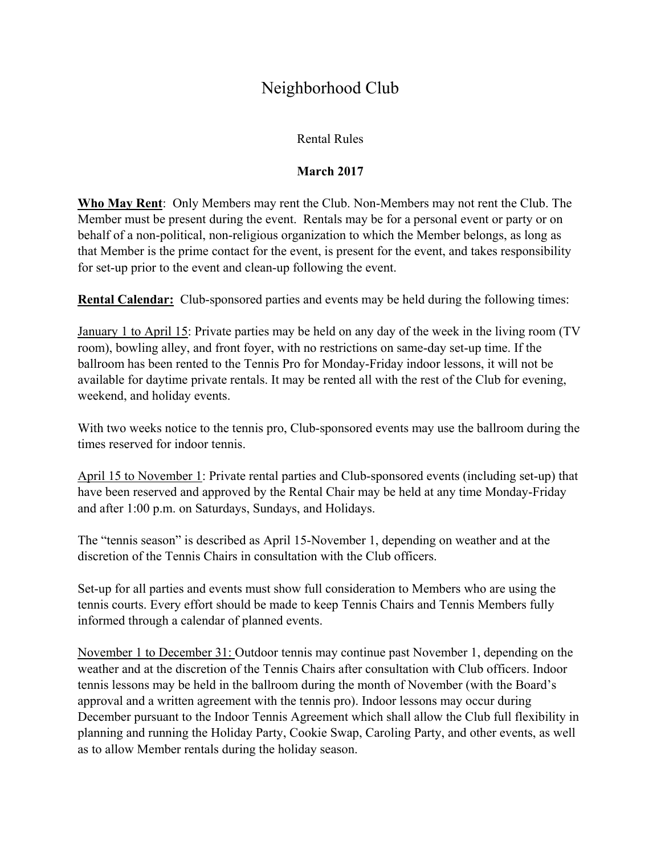# Neighborhood Club

### Rental Rules

## **March 2017**

**Who May Rent**: Only Members may rent the Club. Non-Members may not rent the Club. The Member must be present during the event. Rentals may be for a personal event or party or on behalf of a non-political, non-religious organization to which the Member belongs, as long as that Member is the prime contact for the event, is present for the event, and takes responsibility for set-up prior to the event and clean-up following the event.

**Rental Calendar:** Club-sponsored parties and events may be held during the following times:

January 1 to April 15: Private parties may be held on any day of the week in the living room (TV room), bowling alley, and front foyer, with no restrictions on same-day set-up time. If the ballroom has been rented to the Tennis Pro for Monday-Friday indoor lessons, it will not be available for daytime private rentals. It may be rented all with the rest of the Club for evening, weekend, and holiday events.

With two weeks notice to the tennis pro, Club-sponsored events may use the ballroom during the times reserved for indoor tennis.

April 15 to November 1: Private rental parties and Club-sponsored events (including set-up) that have been reserved and approved by the Rental Chair may be held at any time Monday-Friday and after 1:00 p.m. on Saturdays, Sundays, and Holidays.

The "tennis season" is described as April 15-November 1, depending on weather and at the discretion of the Tennis Chairs in consultation with the Club officers.

Set-up for all parties and events must show full consideration to Members who are using the tennis courts. Every effort should be made to keep Tennis Chairs and Tennis Members fully informed through a calendar of planned events.

November 1 to December 31: Outdoor tennis may continue past November 1, depending on the weather and at the discretion of the Tennis Chairs after consultation with Club officers. Indoor tennis lessons may be held in the ballroom during the month of November (with the Board's approval and a written agreement with the tennis pro). Indoor lessons may occur during December pursuant to the Indoor Tennis Agreement which shall allow the Club full flexibility in planning and running the Holiday Party, Cookie Swap, Caroling Party, and other events, as well as to allow Member rentals during the holiday season.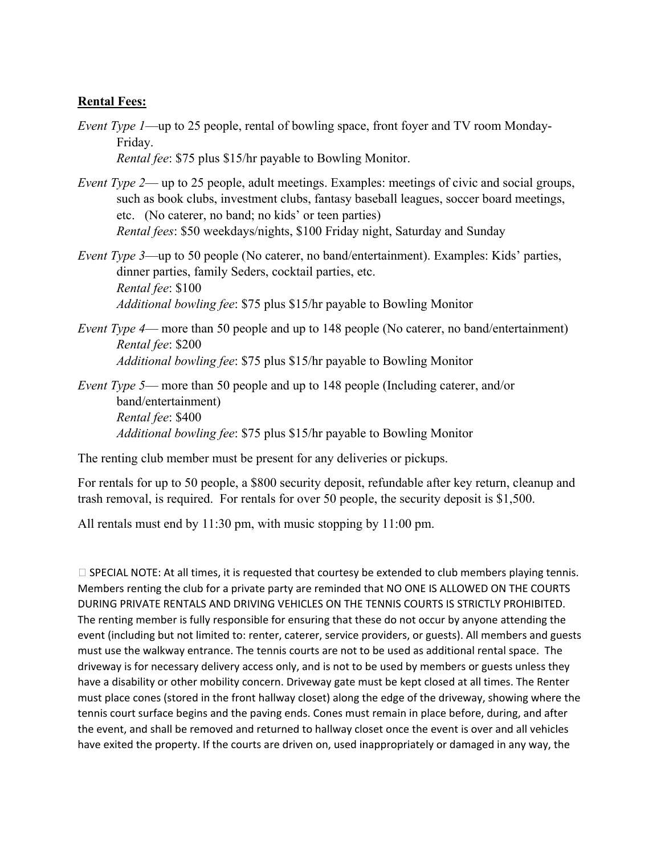#### **Rental Fees:**

- *Event Type 1*—up to 25 people, rental of bowling space, front foyer and TV room Monday-Friday. *Rental fee*: \$75 plus \$15/hr payable to Bowling Monitor.
- *Event Type 2* up to 25 people, adult meetings. Examples: meetings of civic and social groups, such as book clubs, investment clubs, fantasy baseball leagues, soccer board meetings, etc. (No caterer, no band; no kids' or teen parties) *Rental fees*: \$50 weekdays/nights, \$100 Friday night, Saturday and Sunday
- *Event Type 3*—up to 50 people (No caterer, no band/entertainment). Examples: Kids' parties, dinner parties, family Seders, cocktail parties, etc. *Rental fee*: \$100 *Additional bowling fee*: \$75 plus \$15/hr payable to Bowling Monitor
- *Event Type 4* more than 50 people and up to 148 people (No caterer, no band/entertainment) *Rental fee*: \$200 *Additional bowling fee*: \$75 plus \$15/hr payable to Bowling Monitor

*Event Type 5*— more than 50 people and up to 148 people (Including caterer, and/or band/entertainment) *Rental fee*: \$400 *Additional bowling fee*: \$75 plus \$15/hr payable to Bowling Monitor

The renting club member must be present for any deliveries or pickups.

For rentals for up to 50 people, a \$800 security deposit, refundable after key return, cleanup and trash removal, is required. For rentals for over 50 people, the security deposit is \$1,500.

All rentals must end by 11:30 pm, with music stopping by 11:00 pm.

 $\square$  SPECIAL NOTE: At all times, it is requested that courtesy be extended to club members playing tennis. Members renting the club for a private party are reminded that NO ONE IS ALLOWED ON THE COURTS DURING PRIVATE RENTALS AND DRIVING VEHICLES ON THE TENNIS COURTS IS STRICTLY PROHIBITED. The renting member is fully responsible for ensuring that these do not occur by anyone attending the event (including but not limited to: renter, caterer, service providers, or guests). All members and guests must use the walkway entrance. The tennis courts are not to be used as additional rental space. The driveway is for necessary delivery access only, and is not to be used by members or guests unless they have a disability or other mobility concern. Driveway gate must be kept closed at all times. The Renter must place cones (stored in the front hallway closet) along the edge of the driveway, showing where the tennis court surface begins and the paving ends. Cones must remain in place before, during, and after the event, and shall be removed and returned to hallway closet once the event is over and all vehicles have exited the property. If the courts are driven on, used inappropriately or damaged in any way, the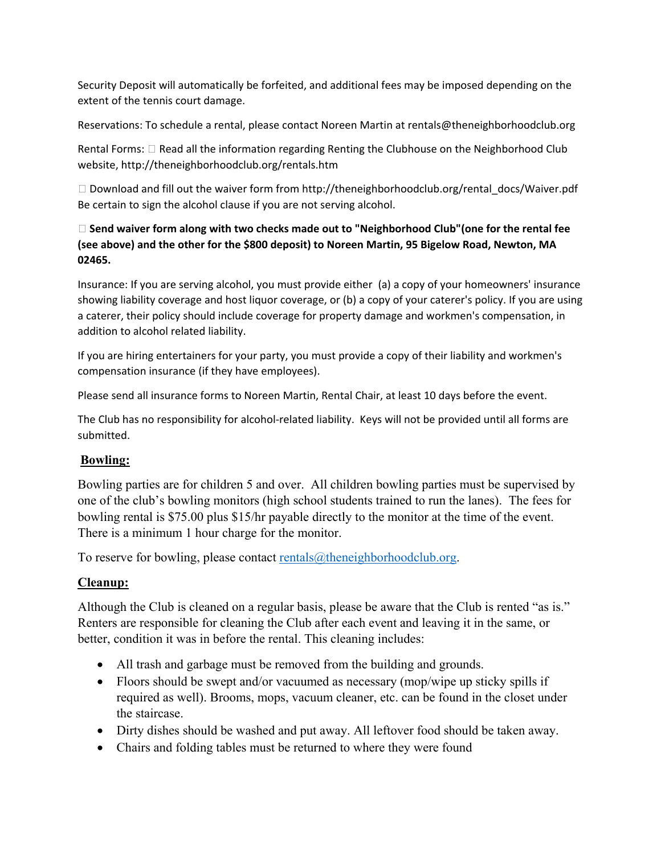Security Deposit will automatically be forfeited, and additional fees may be imposed depending on the extent of the tennis court damage.

Reservations: To schedule a rental, please contact Noreen Martin at rentals@theneighborhoodclub.org

Rental Forms:  $\Box$  Read all the information regarding Renting the Clubhouse on the Neighborhood Club website, http://theneighborhoodclub.org/rentals.htm

 Download and fill out the waiver form from http://theneighborhoodclub.org/rental\_docs/Waiver.pdf Be certain to sign the alcohol clause if you are not serving alcohol.

### **Send waiver form along with two checks made out to "Neighborhood Club"(one for the rental fee (see above) and the other for the \$800 deposit) to Noreen Martin, 95 Bigelow Road, Newton, MA 02465.**

Insurance: If you are serving alcohol, you must provide either (a) a copy of your homeowners' insurance showing liability coverage and host liquor coverage, or (b) a copy of your caterer's policy. If you are using a caterer, their policy should include coverage for property damage and workmen's compensation, in addition to alcohol related liability.

If you are hiring entertainers for your party, you must provide a copy of their liability and workmen's compensation insurance (if they have employees).

Please send all insurance forms to Noreen Martin, Rental Chair, at least 10 days before the event.

The Club has no responsibility for alcohol-related liability. Keys will not be provided until all forms are submitted.

## **Bowling:**

Bowling parties are for children 5 and over. All children bowling parties must be supervised by one of the club's bowling monitors (high school students trained to run the lanes). The fees for bowling rental is \$75.00 plus \$15/hr payable directly to the monitor at the time of the event. There is a minimum 1 hour charge for the monitor.

To reserve for bowling, please contact rentals $@$ theneighborhoodclub.org.

## **Cleanup:**

Although the Club is cleaned on a regular basis, please be aware that the Club is rented "as is." Renters are responsible for cleaning the Club after each event and leaving it in the same, or better, condition it was in before the rental. This cleaning includes:

- All trash and garbage must be removed from the building and grounds.
- Floors should be swept and/or vacuumed as necessary (mop/wipe up sticky spills if required as well). Brooms, mops, vacuum cleaner, etc. can be found in the closet under the staircase.
- Dirty dishes should be washed and put away. All leftover food should be taken away.
- Chairs and folding tables must be returned to where they were found